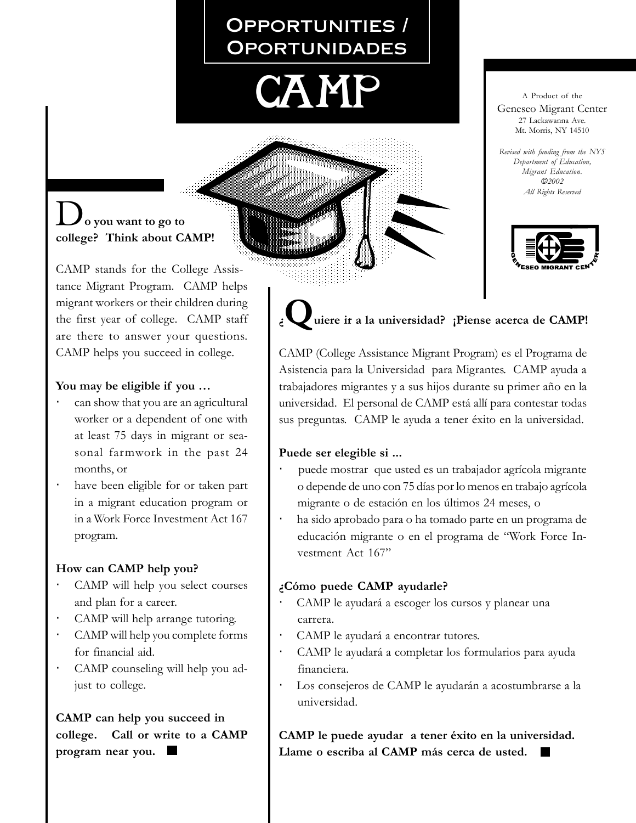# Opportunities / **OPORTUNIDADES**



A Product of the Geneseo Migrant Center 27 Lackawanna Ave. Mt. Morris, NY 14510

*Revised with funding from the NYS Department of Education, Migrant Education.* c*2002 All Rights Reserved*

### D**o you want to go to college? Think about CAMP!**

CAMP stands for the College Assistance Migrant Program. CAMP helps migrant workers or their children during the first year of college. CAMP staff are there to answer your questions. CAMP helps you succeed in college.

#### **You may be eligible if you …**

- can show that you are an agricultural worker or a dependent of one with at least 75 days in migrant or seasonal farmwork in the past 24 months, or
- have been eligible for or taken part in a migrant education program or in a Work Force Investment Act 167 program.

#### **How can CAMP help you?**

- CAMP will help you select courses and plan for a career.
- *·* CAMP will help arrange tutoring.
- *·* CAMP will help you complete forms for financial aid.
- *·* CAMP counseling will help you adjust to college.

**CAMP can help you succeed in college. Call or write to a CAMP program near you.**

# uiere ir a la universidad? ¡Piense acerca de CAMP!

CAMP (College Assistance Migrant Program) es el Programa de Asistencia para la Universidad para Migrantes. CAMP ayuda a trabajadores migrantes y a sus hijos durante su primer año en la universidad. El personal de CAMP está allí para contestar todas sus preguntas. CAMP le ayuda a tener éxito en la universidad.

#### **Puede ser elegible si ...**

- *·*puede mostrar que usted es un trabajador agrícola migrante o depende de uno con 75 días por lo menos en trabajo agrícola migrante o de estación en los últimos 24 meses, o
- *·*ha sido aprobado para o ha tomado parte en un programa de educación migrante o en el programa de "Work Force Investment Act 167"

#### **¿Cómo puede CAMP ayudarle?**

- *·*CAMP le ayudará a escoger los cursos y planear una carrera.
- *·*CAMP le ayudará a encontrar tutores.
- *·*CAMP le ayudará a completar los formularios para ayuda financiera.
- *·*Los consejeros de CAMP le ayudarán a acostumbrarse a la universidad.

**CAMP le puede ayudar a tener éxito en la universidad. Llame o escriba al CAMP más cerca de usted.**